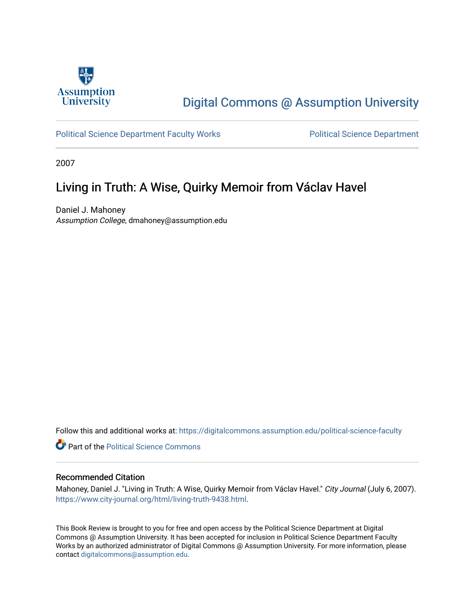

# [Digital Commons @ Assumption University](https://digitalcommons.assumption.edu/)

[Political Science Department Faculty Works](https://digitalcommons.assumption.edu/political-science-faculty) **Political Science Department** 

2007

### Living in Truth: A Wise, Quirky Memoir from Václav Havel

Daniel J. Mahoney Assumption College, dmahoney@assumption.edu

Follow this and additional works at: [https://digitalcommons.assumption.edu/political-science-faculty](https://digitalcommons.assumption.edu/political-science-faculty?utm_source=digitalcommons.assumption.edu%2Fpolitical-science-faculty%2F55&utm_medium=PDF&utm_campaign=PDFCoverPages)

**Part of the Political Science Commons** 

#### Recommended Citation

Mahoney, Daniel J. "Living in Truth: A Wise, Quirky Memoir from Václav Havel." City Journal (July 6, 2007). [https://www.city-journal.org/html/living-truth-9438.html.](https://www.city-journal.org/html/living-truth-9438.html)

This Book Review is brought to you for free and open access by the Political Science Department at Digital Commons @ Assumption University. It has been accepted for inclusion in Political Science Department Faculty Works by an authorized administrator of Digital Commons @ Assumption University. For more information, please contact [digitalcommons@assumption.edu.](mailto:digitalcommons@assumption.edu)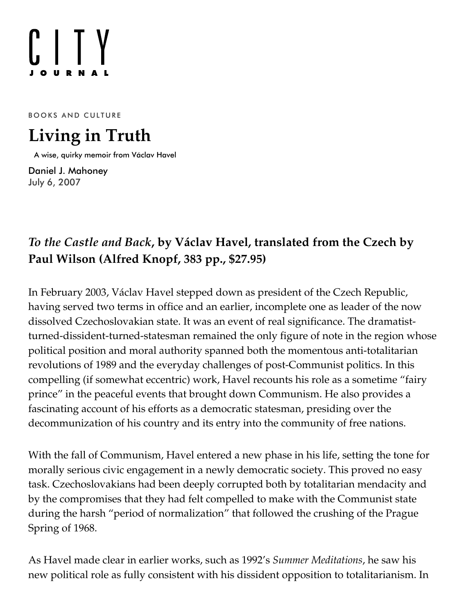# $[]$   $[]$   $Y$

BOOKS AND CULTURE

# **Living in Truth**

A wise, quirky memoir from Václav Havel

[Daniel J. Mahoney](https://www.city-journal.org/contributor/daniel-j-mahoney_578) July 6, 2007

# *To the [Castle](http://www.amazon.com/exec/obidos/ASIN/0307266419/manhattaninstitu/) and Back***, by Václav Havel, translated from the Czech by Paul Wilson (Alfred Knopf, 383 pp., \$27.95)**

In February 2003, Václav Havel stepped down as president of the Czech Republic, having served two terms in office and an earlier, incomplete one as leader of the now dissolved Czechoslovakian state. It was an event of real significance. The dramatistturned-dissident-turned-statesman remained the only figure of note in the region whose political position and moral authority spanned both the momentous anti-totalitarian revolutions of 1989 and the everyday challenges of post-Communist politics. In this compelling (if somewhat eccentric) work, Havel recounts his role as a sometime "fairy prince" in the peaceful events that brought down Communism. He also provides a fascinating account of his efforts as a democratic statesman, presiding over the decommunization of his country and its entry into the community of free nations.

With the fall of Communism, Havel entered a new phase in his life, setting the tone for morally serious civic engagement in a newly democratic society. This proved no easy task. Czechoslovakians had been deeply corrupted both by totalitarian mendacity and by the compromises that they had felt compelled to make with the Communist state during the harsh "period of normalization" that followed the crushing of the Prague Spring of 1968.

As Havel made clear in earlier works, such as 1992's *Summer Meditations*, he saw his new political role as fully consistent with his dissident opposition to totalitarianism. In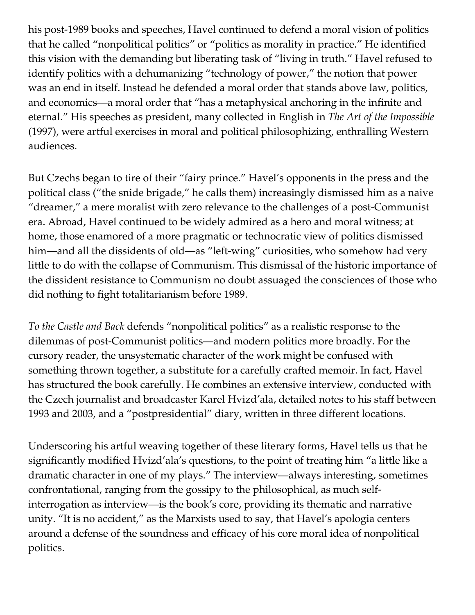his post-1989 books and speeches, Havel continued to defend a moral vision of politics that he called "nonpolitical politics" or "politics as morality in practice." He identified this vision with the demanding but liberating task of "living in truth." Havel refused to identify politics with a dehumanizing "technology of power," the notion that power was an end in itself. Instead he defended a moral order that stands above law, politics, and economics—a moral order that "has a metaphysical anchoring in the infinite and eternal." His speeches as president, many collected in English in *The Art of the Impossible* (1997), were artful exercises in moral and political philosophizing, enthralling Western audiences.

But Czechs began to tire of their "fairy prince." Havel's opponents in the press and the political class ("the snide brigade," he calls them) increasingly dismissed him as a naive "dreamer," a mere moralist with zero relevance to the challenges of a post-Communist era. Abroad, Havel continued to be widely admired as a hero and moral witness; at home, those enamored of a more pragmatic or technocratic view of politics dismissed him—and all the dissidents of old—as "left-wing" curiosities, who somehow had very little to do with the collapse of Communism. This dismissal of the historic importance of the dissident resistance to Communism no doubt assuaged the consciences of those who did nothing to fight totalitarianism before 1989.

*To the Castle and Back* defends "nonpolitical politics" as a realistic response to the dilemmas of post-Communist politics—and modern politics more broadly. For the cursory reader, the unsystematic character of the work might be confused with something thrown together, a substitute for a carefully crafted memoir. In fact, Havel has structured the book carefully. He combines an extensive interview, conducted with the Czech journalist and broadcaster Karel Hvizd'ala, detailed notes to his staff between 1993 and 2003, and a "postpresidential" diary, written in three different locations.

Underscoring his artful weaving together of these literary forms, Havel tells us that he significantly modified Hvizd'ala's questions, to the point of treating him "a little like a dramatic character in one of my plays." The interview—always interesting, sometimes confrontational, ranging from the gossipy to the philosophical, as much selfinterrogation as interview—is the book's core, providing its thematic and narrative unity. "It is no accident," as the Marxists used to say, that Havel's apologia centers around a defense of the soundness and efficacy of his core moral idea of nonpolitical politics.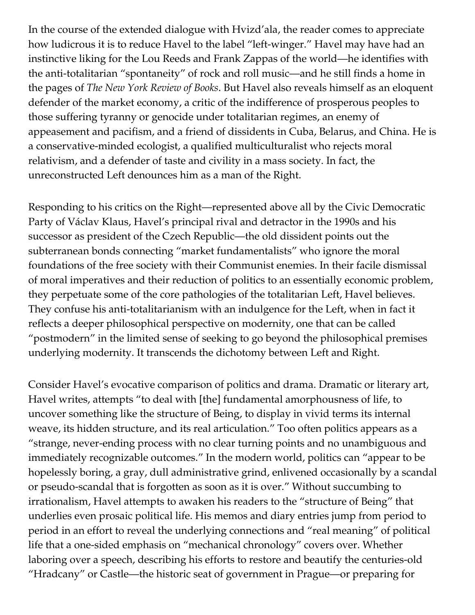In the course of the extended dialogue with Hvizd'ala, the reader comes to appreciate how ludicrous it is to reduce Havel to the label "left-winger." Havel may have had an instinctive liking for the Lou Reeds and Frank Zappas of the world—he identifies with the anti-totalitarian "spontaneity" of rock and roll music—and he still finds a home in the pages of *The New York Review of Books*. But Havel also reveals himself as an eloquent defender of the market economy, a critic of the indifference of prosperous peoples to those suffering tyranny or genocide under totalitarian regimes, an enemy of appeasement and pacifism, and a friend of dissidents in Cuba, Belarus, and China. He is a conservative-minded ecologist, a qualified multiculturalist who rejects moral relativism, and a defender of taste and civility in a mass society. In fact, the unreconstructed Left denounces him as a man of the Right.

Responding to his critics on the Right—represented above all by the Civic Democratic Party of Václav Klaus, Havel's principal rival and detractor in the 1990s and his successor as president of the Czech Republic—the old dissident points out the subterranean bonds connecting "market fundamentalists" who ignore the moral foundations of the free society with their Communist enemies. In their facile dismissal of moral imperatives and their reduction of politics to an essentially economic problem, they perpetuate some of the core pathologies of the totalitarian Left, Havel believes. They confuse his anti-totalitarianism with an indulgence for the Left, when in fact it reflects a deeper philosophical perspective on modernity, one that can be called "postmodern" in the limited sense of seeking to go beyond the philosophical premises underlying modernity. It transcends the dichotomy between Left and Right.

Consider Havel's evocative comparison of politics and drama. Dramatic or literary art, Havel writes, attempts "to deal with [the] fundamental amorphousness of life, to uncover something like the structure of Being, to display in vivid terms its internal weave, its hidden structure, and its real articulation." Too often politics appears as a "strange, never-ending process with no clear turning points and no unambiguous and immediately recognizable outcomes." In the modern world, politics can "appear to be hopelessly boring, a gray, dull administrative grind, enlivened occasionally by a scandal or pseudo-scandal that is forgotten as soon as it is over." Without succumbing to irrationalism, Havel attempts to awaken his readers to the "structure of Being" that underlies even prosaic political life. His memos and diary entries jump from period to period in an effort to reveal the underlying connections and "real meaning" of political life that a one-sided emphasis on "mechanical chronology" covers over. Whether laboring over a speech, describing his efforts to restore and beautify the centuries-old "Hradcany" or Castle—the historic seat of government in Prague—or preparing for